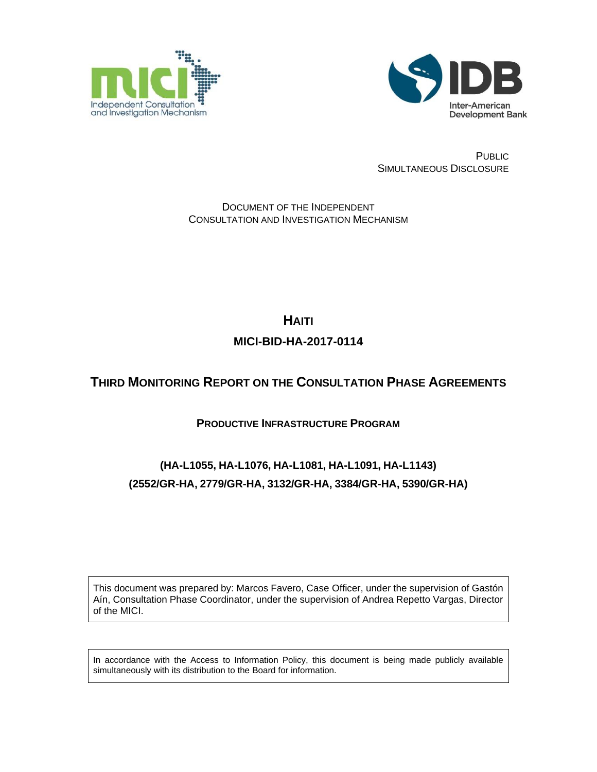



PUBLIC SIMULTANEOUS DISCLOSURE

DOCUMENT OF THE INDEPENDENT CONSULTATION AND INVESTIGATION MECHANISM

> **HAITI MICI-BID-HA-2017-0114**

# **THIRD MONITORING REPORT ON THE CONSULTATION PHASE AGREEMENTS**

# **PRODUCTIVE INFRASTRUCTURE PROGRAM**

# **(HA-L1055, HA-L1076, HA-L1081, HA-L1091, HA-L1143) (2552/GR-HA, 2779/GR-HA, 3132/GR-HA, 3384/GR-HA, 5390/GR-HA)**

This document was prepared by: Marcos Favero, Case Officer, under the supervision of Gastón Aín, Consultation Phase Coordinator, under the supervision of Andrea Repetto Vargas, Director of the MICI.

In accordance with the Access to Information Policy, this document is being made publicly available simultaneously with its distribution to the Board for information.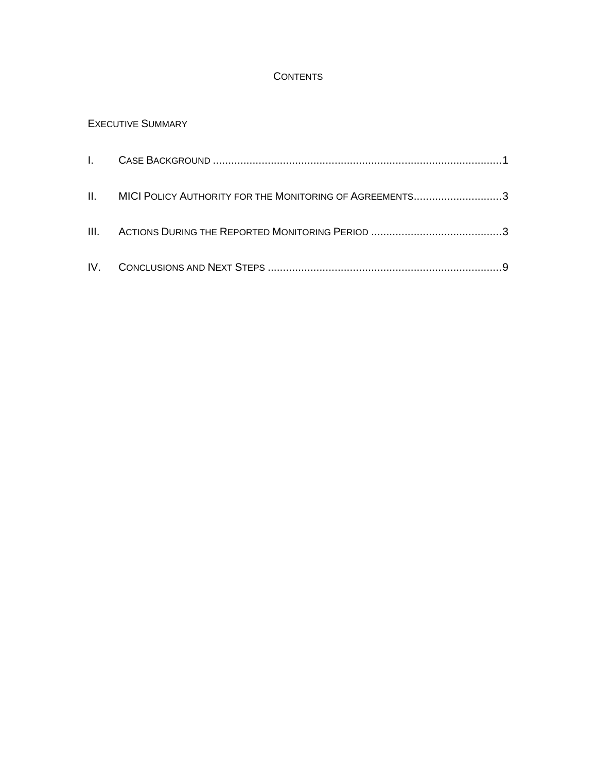## **CONTENTS**

# E[XECUTIVE](#page-4-0) SUMMARY

| II. MICI POLICY AUTHORITY FOR THE MONITORING OF AGREEMENTS3 |  |
|-------------------------------------------------------------|--|
|                                                             |  |
|                                                             |  |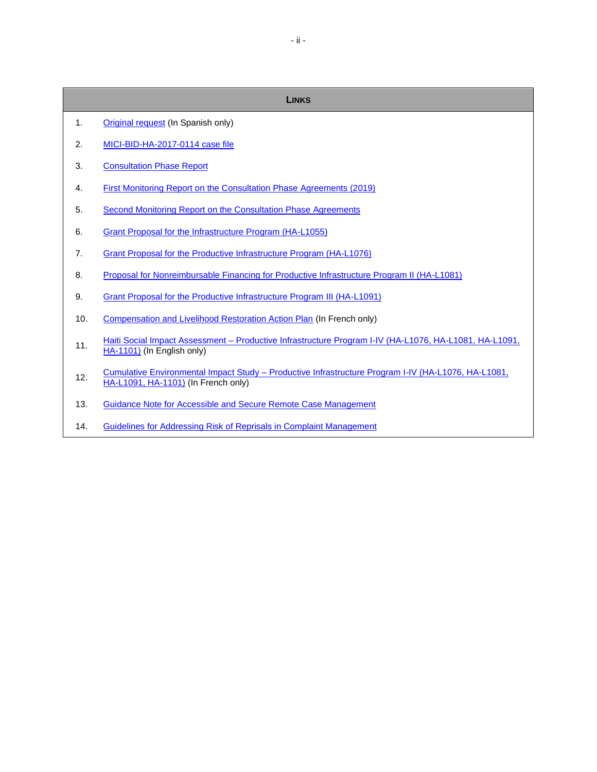| <b>LINKS</b>   |                                                                                                                                            |  |
|----------------|--------------------------------------------------------------------------------------------------------------------------------------------|--|
| $\mathbf{1}$ . | Original request (In Spanish only)                                                                                                         |  |
| 2.             | MICI-BID-HA-2017-0114 case file                                                                                                            |  |
| 3.             | <b>Consultation Phase Report</b>                                                                                                           |  |
| 4.             | First Monitoring Report on the Consultation Phase Agreements (2019)                                                                        |  |
| 5.             | Second Monitoring Report on the Consultation Phase Agreements                                                                              |  |
| 6.             | <b>Grant Proposal for the Infrastructure Program (HA-L1055)</b>                                                                            |  |
| 7.             | Grant Proposal for the Productive Infrastructure Program (HA-L1076)                                                                        |  |
| 8.             | Proposal for Nonreimbursable Financing for Productive Infrastructure Program II (HA-L1081)                                                 |  |
| 9.             | Grant Proposal for the Productive Infrastructure Program III (HA-L1091)                                                                    |  |
| 10.            | Compensation and Livelihood Restoration Action Plan (In French only)                                                                       |  |
| 11.            | Haiti Social Impact Assessment - Productive Infrastructure Program I-IV (HA-L1076, HA-L1081, HA-L1091,<br>HA-1101) (In English only)       |  |
| 12.            | Cumulative Environmental Impact Study - Productive Infrastructure Program I-IV (HA-L1076, HA-L1081,<br>HA-L1091, HA-1101) (In French only) |  |
| 13.            | <b>Guidance Note for Accessible and Secure Remote Case Management</b>                                                                      |  |
| 14.            | Guidelines for Addressing Risk of Reprisals in Complaint Management                                                                        |  |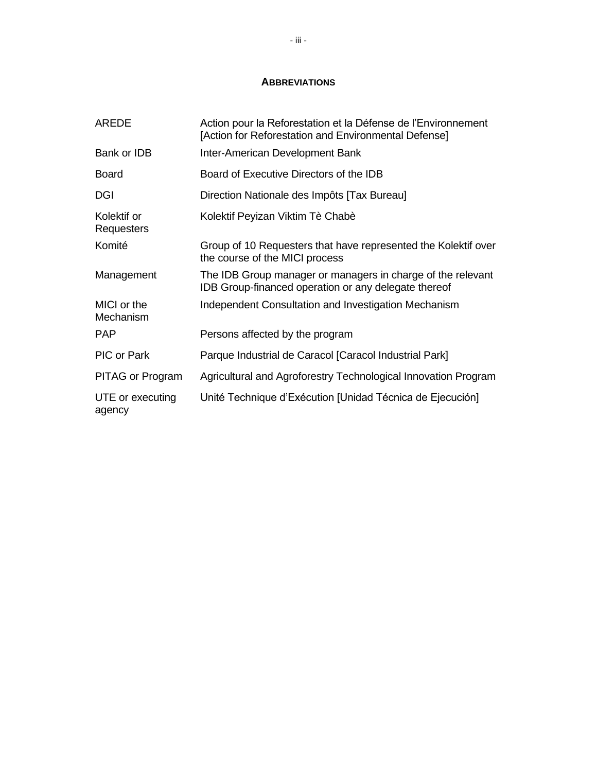### **ABBREVIATIONS**

| <b>AREDE</b>               | Action pour la Reforestation et la Défense de l'Environnement<br>[Action for Reforestation and Environmental Defense] |
|----------------------------|-----------------------------------------------------------------------------------------------------------------------|
| Bank or IDB                | Inter-American Development Bank                                                                                       |
| Board                      | Board of Executive Directors of the IDB                                                                               |
| <b>DGI</b>                 | Direction Nationale des Impôts [Tax Bureau]                                                                           |
| Kolektif or<br>Requesters  | Kolektif Peyizan Viktim Tè Chabè                                                                                      |
| Komité                     | Group of 10 Requesters that have represented the Kolektif over<br>the course of the MICI process                      |
| Management                 | The IDB Group manager or managers in charge of the relevant<br>IDB Group-financed operation or any delegate thereof   |
| MICI or the<br>Mechanism   | Independent Consultation and Investigation Mechanism                                                                  |
| <b>PAP</b>                 | Persons affected by the program                                                                                       |
| PIC or Park                | Parque Industrial de Caracol [Caracol Industrial Park]                                                                |
| <b>PITAG or Program</b>    | Agricultural and Agroforestry Technological Innovation Program                                                        |
| UTE or executing<br>agency | Unité Technique d'Exécution [Unidad Técnica de Ejecución]                                                             |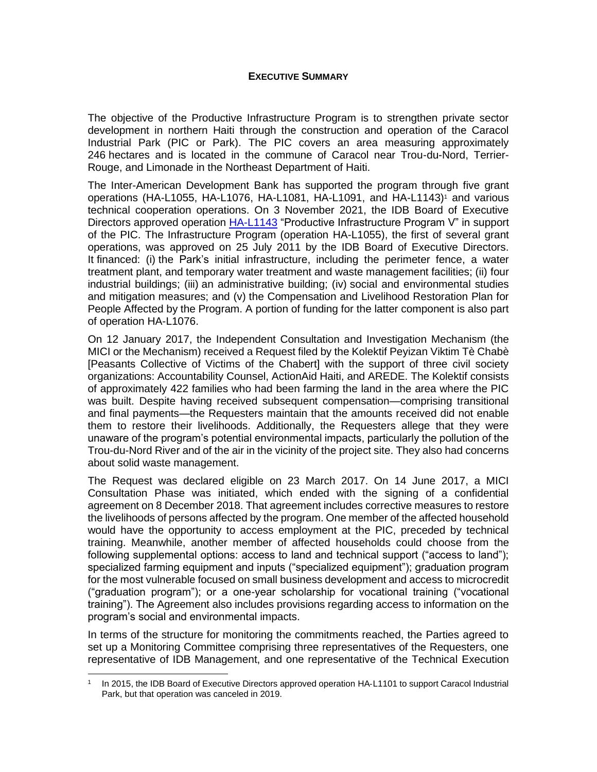#### **EXECUTIVE SUMMARY**

<span id="page-4-0"></span>The objective of the Productive Infrastructure Program is to strengthen private sector development in northern Haiti through the construction and operation of the Caracol Industrial Park (PIC or Park). The PIC covers an area measuring approximately 246 hectares and is located in the commune of Caracol near Trou-du-Nord, Terrier-Rouge, and Limonade in the Northeast Department of Haiti.

The Inter-American Development Bank has supported the program through five grant operations (HA-L1055, HA-L1076, HA-L1081, HA-L1091, and HA-L1143) <sup>1</sup> and various technical cooperation operations. On 3 November 2021, the IDB Board of Executive Directors approved operation [HA-L1143](https://www.iadb.org/en/project/HA-L1143) "Productive Infrastructure Program V" in support of the PIC. The Infrastructure Program (operation HA-L1055), the first of several grant operations, was approved on 25 July 2011 by the IDB Board of Executive Directors. It financed: (i) the Park's initial infrastructure, including the perimeter fence, a water treatment plant, and temporary water treatment and waste management facilities; (ii) four industrial buildings; (iii) an administrative building; (iv) social and environmental studies and mitigation measures; and (v) the Compensation and Livelihood Restoration Plan for People Affected by the Program. A portion of funding for the latter component is also part of operation HA-L1076.

On 12 January 2017, the Independent Consultation and Investigation Mechanism (the MICI or the Mechanism) received a Request filed by the Kolektif Peyizan Viktim Tè Chabè [Peasants Collective of Victims of the Chabert] with the support of three civil society organizations: Accountability Counsel, ActionAid Haiti, and AREDE. The Kolektif consists of approximately 422 families who had been farming the land in the area where the PIC was built. Despite having received subsequent compensation—comprising transitional and final payments—the Requesters maintain that the amounts received did not enable them to restore their livelihoods. Additionally, the Requesters allege that they were unaware of the program's potential environmental impacts, particularly the pollution of the Trou-du-Nord River and of the air in the vicinity of the project site. They also had concerns about solid waste management.

The Request was declared eligible on 23 March 2017. On 14 June 2017, a MICI Consultation Phase was initiated, which ended with the signing of a confidential agreement on 8 December 2018. That agreement includes corrective measures to restore the livelihoods of persons affected by the program. One member of the affected household would have the opportunity to access employment at the PIC, preceded by technical training. Meanwhile, another member of affected households could choose from the following supplemental options: access to land and technical support ("access to land"); specialized farming equipment and inputs ("specialized equipment"); graduation program for the most vulnerable focused on small business development and access to microcredit ("graduation program"); or a one-year scholarship for vocational training ("vocational training"). The Agreement also includes provisions regarding access to information on the program's social and environmental impacts.

In terms of the structure for monitoring the commitments reached, the Parties agreed to set up a Monitoring Committee comprising three representatives of the Requesters, one representative of IDB Management, and one representative of the Technical Execution

<sup>1</sup> In 2015, the IDB Board of Executive Directors approved operation HA-L1101 to support Caracol Industrial Park, but that operation was canceled in 2019.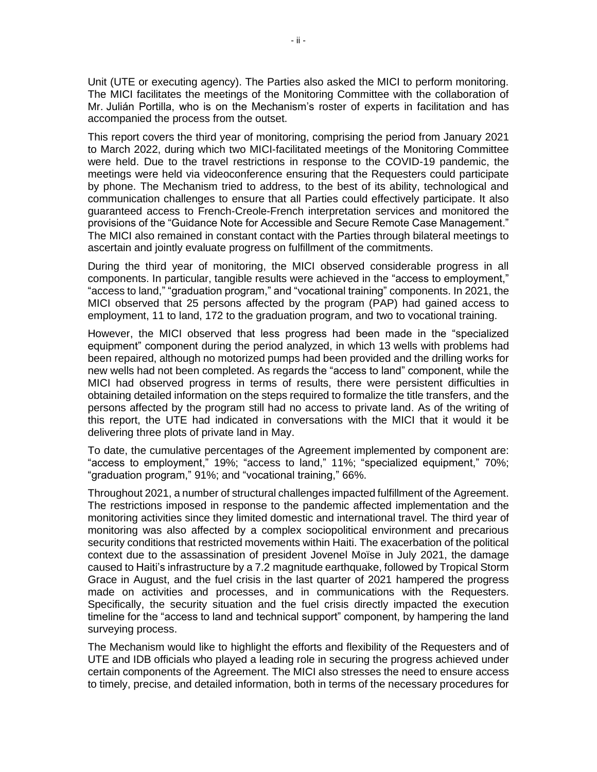Unit (UTE or executing agency). The Parties also asked the MICI to perform monitoring. The MICI facilitates the meetings of the Monitoring Committee with the collaboration of Mr. Julián Portilla, who is on the Mechanism's roster of experts in facilitation and has accompanied the process from the outset.

This report covers the third year of monitoring, comprising the period from January 2021 to March 2022, during which two MICI-facilitated meetings of the Monitoring Committee were held. Due to the travel restrictions in response to the COVID-19 pandemic, the meetings were held via videoconference ensuring that the Requesters could participate by phone. The Mechanism tried to address, to the best of its ability, technological and communication challenges to ensure that all Parties could effectively participate. It also guaranteed access to French-Creole-French interpretation services and monitored the provisions of the "Guidance Note for Accessible and Secure Remote Case Management." The MICI also remained in constant contact with the Parties through bilateral meetings to ascertain and jointly evaluate progress on fulfillment of the commitments.

During the third year of monitoring, the MICI observed considerable progress in all components. In particular, tangible results were achieved in the "access to employment," "access to land," "graduation program," and "vocational training" components. In 2021, the MICI observed that 25 persons affected by the program (PAP) had gained access to employment, 11 to land, 172 to the graduation program, and two to vocational training.

However, the MICI observed that less progress had been made in the "specialized equipment" component during the period analyzed, in which 13 wells with problems had been repaired, although no motorized pumps had been provided and the drilling works for new wells had not been completed. As regards the "access to land" component, while the MICI had observed progress in terms of results, there were persistent difficulties in obtaining detailed information on the steps required to formalize the title transfers, and the persons affected by the program still had no access to private land. As of the writing of this report, the UTE had indicated in conversations with the MICI that it would it be delivering three plots of private land in May.

To date, the cumulative percentages of the Agreement implemented by component are: "access to employment," 19%; "access to land," 11%; "specialized equipment," 70%; "graduation program," 91%; and "vocational training," 66%.

Throughout 2021, a number of structural challenges impacted fulfillment of the Agreement. The restrictions imposed in response to the pandemic affected implementation and the monitoring activities since they limited domestic and international travel. The third year of monitoring was also affected by a complex sociopolitical environment and precarious security conditions that restricted movements within Haiti. The exacerbation of the political context due to the assassination of president Jovenel Moïse in July 2021, the damage caused to Haiti's infrastructure by a 7.2 magnitude earthquake, followed by Tropical Storm Grace in August, and the fuel crisis in the last quarter of 2021 hampered the progress made on activities and processes, and in communications with the Requesters. Specifically, the security situation and the fuel crisis directly impacted the execution timeline for the "access to land and technical support" component, by hampering the land surveying process.

The Mechanism would like to highlight the efforts and flexibility of the Requesters and of UTE and IDB officials who played a leading role in securing the progress achieved under certain components of the Agreement. The MICI also stresses the need to ensure access to timely, precise, and detailed information, both in terms of the necessary procedures for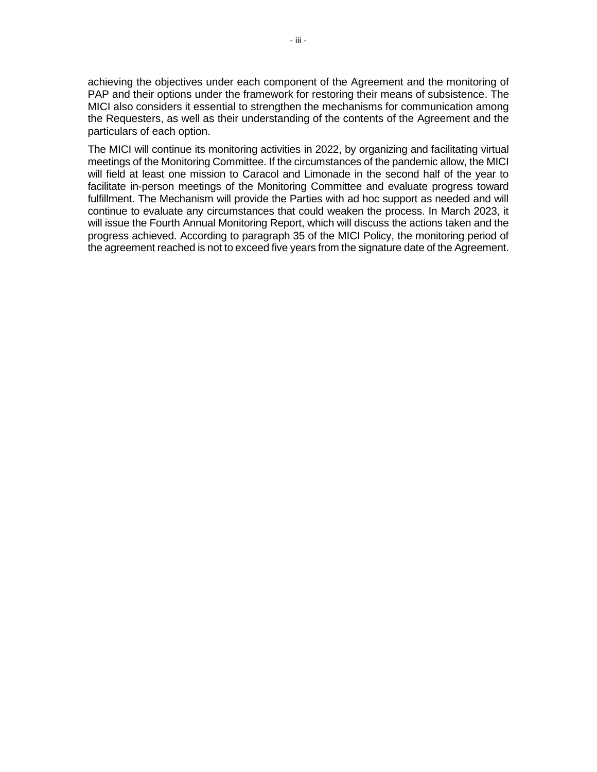achieving the objectives under each component of the Agreement and the monitoring of PAP and their options under the framework for restoring their means of subsistence. The MICI also considers it essential to strengthen the mechanisms for communication among the Requesters, as well as their understanding of the contents of the Agreement and the particulars of each option.

The MICI will continue its monitoring activities in 2022, by organizing and facilitating virtual meetings of the Monitoring Committee. If the circumstances of the pandemic allow, the MICI will field at least one mission to Caracol and Limonade in the second half of the year to facilitate in-person meetings of the Monitoring Committee and evaluate progress toward fulfillment. The Mechanism will provide the Parties with ad hoc support as needed and will continue to evaluate any circumstances that could weaken the process. In March 2023, it will issue the Fourth Annual Monitoring Report, which will discuss the actions taken and the progress achieved. According to paragraph 35 of the MICI Policy, the monitoring period of the agreement reached is not to exceed five years from the signature date of the Agreement.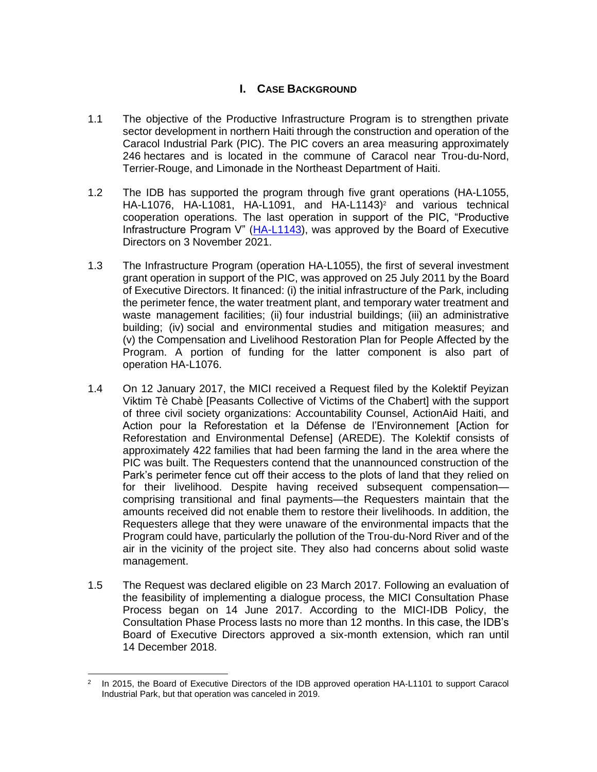## **I. CASE BACKGROUND**

- <span id="page-7-0"></span>1.1 The objective of the Productive Infrastructure Program is to strengthen private sector development in northern Haiti through the construction and operation of the Caracol Industrial Park (PIC). The PIC covers an area measuring approximately 246 hectares and is located in the commune of Caracol near Trou-du-Nord, Terrier-Rouge, and Limonade in the Northeast Department of Haiti.
- 1.2 The IDB has supported the program through five grant operations (HA-L1055, HA-L1076, HA-L1081, HA-L1091, and HA-L1143) <sup>2</sup> and various technical cooperation operations. The last operation in support of the PIC, "Productive Infrastructure Program V" [\(HA-L1143\)](https://www.iadb.org/en/project/HA-L1143), was approved by the Board of Executive Directors on 3 November 2021.
- 1.3 The Infrastructure Program (operation HA-L1055), the first of several investment grant operation in support of the PIC, was approved on 25 July 2011 by the Board of Executive Directors. It financed: (i) the initial infrastructure of the Park, including the perimeter fence, the water treatment plant, and temporary water treatment and waste management facilities; (ii) four industrial buildings; (iii) an administrative building; (iv) social and environmental studies and mitigation measures; and (v) the Compensation and Livelihood Restoration Plan for People Affected by the Program. A portion of funding for the latter component is also part of operation HA-L1076.
- 1.4 On 12 January 2017, the MICI received a Request filed by the Kolektif Peyizan Viktim Tè Chabè [Peasants Collective of Victims of the Chabert] with the support of three civil society organizations: Accountability Counsel, ActionAid Haiti, and Action pour la Reforestation et la Défense de l'Environnement [Action for Reforestation and Environmental Defense] (AREDE). The Kolektif consists of approximately 422 families that had been farming the land in the area where the PIC was built. The Requesters contend that the unannounced construction of the Park's perimeter fence cut off their access to the plots of land that they relied on for their livelihood. Despite having received subsequent compensation comprising transitional and final payments—the Requesters maintain that the amounts received did not enable them to restore their livelihoods. In addition, the Requesters allege that they were unaware of the environmental impacts that the Program could have, particularly the pollution of the Trou-du-Nord River and of the air in the vicinity of the project site. They also had concerns about solid waste management.
- 1.5 The Request was declared eligible on 23 March 2017. Following an evaluation of the feasibility of implementing a dialogue process, the MICI Consultation Phase Process began on 14 June 2017. According to the MICI-IDB Policy, the Consultation Phase Process lasts no more than 12 months. In this case, the IDB's Board of Executive Directors approved a six-month extension, which ran until 14 December 2018.

<sup>2</sup> In 2015, the Board of Executive Directors of the IDB approved operation HA-L1101 to support Caracol Industrial Park, but that operation was canceled in 2019.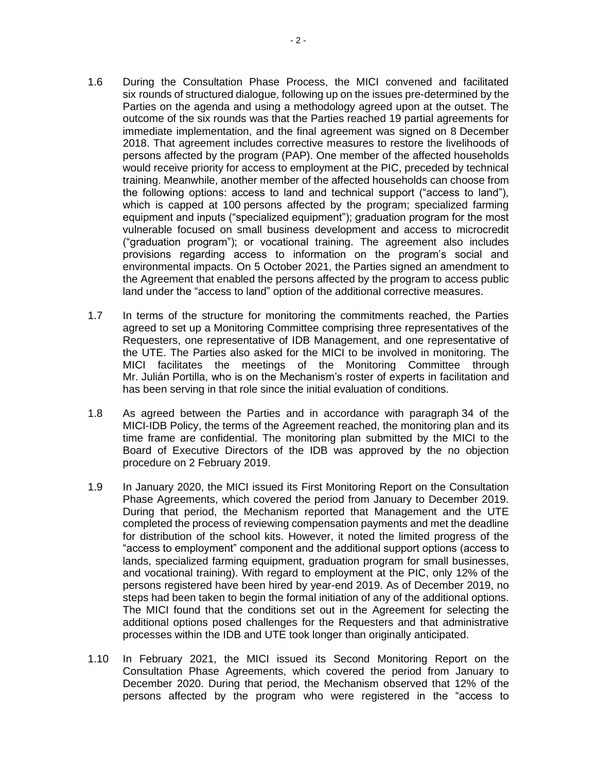- 1.6 During the Consultation Phase Process, the MICI convened and facilitated six rounds of structured dialogue, following up on the issues pre-determined by the Parties on the agenda and using a methodology agreed upon at the outset. The outcome of the six rounds was that the Parties reached 19 partial agreements for immediate implementation, and the final agreement was signed on 8 December 2018. That agreement includes corrective measures to restore the livelihoods of persons affected by the program (PAP). One member of the affected households would receive priority for access to employment at the PIC, preceded by technical training. Meanwhile, another member of the affected households can choose from the following options: access to land and technical support ("access to land"), which is capped at 100 persons affected by the program; specialized farming equipment and inputs ("specialized equipment"); graduation program for the most vulnerable focused on small business development and access to microcredit ("graduation program"); or vocational training. The agreement also includes provisions regarding access to information on the program's social and environmental impacts. On 5 October 2021, the Parties signed an amendment to the Agreement that enabled the persons affected by the program to access public land under the "access to land" option of the additional corrective measures.
- 1.7 In terms of the structure for monitoring the commitments reached, the Parties agreed to set up a Monitoring Committee comprising three representatives of the Requesters, one representative of IDB Management, and one representative of the UTE. The Parties also asked for the MICI to be involved in monitoring. The MICI facilitates the meetings of the Monitoring Committee through Mr. Julián Portilla, who is on the Mechanism's roster of experts in facilitation and has been serving in that role since the initial evaluation of conditions.
- 1.8 As agreed between the Parties and in accordance with paragraph 34 of the MICI-IDB Policy, the terms of the Agreement reached, the monitoring plan and its time frame are confidential. The monitoring plan submitted by the MICI to the Board of Executive Directors of the IDB was approved by the no objection procedure on 2 February 2019.
- 1.9 In January 2020, the MICI issued its First Monitoring Report on the Consultation Phase Agreements, which covered the period from January to December 2019. During that period, the Mechanism reported that Management and the UTE completed the process of reviewing compensation payments and met the deadline for distribution of the school kits. However, it noted the limited progress of the "access to employment" component and the additional support options (access to lands, specialized farming equipment, graduation program for small businesses, and vocational training). With regard to employment at the PIC, only 12% of the persons registered have been hired by year-end 2019. As of December 2019, no steps had been taken to begin the formal initiation of any of the additional options. The MICI found that the conditions set out in the Agreement for selecting the additional options posed challenges for the Requesters and that administrative processes within the IDB and UTE took longer than originally anticipated.
- 1.10 In February 2021, the MICI issued its Second Monitoring Report on the Consultation Phase Agreements, which covered the period from January to December 2020. During that period, the Mechanism observed that 12% of the persons affected by the program who were registered in the "access to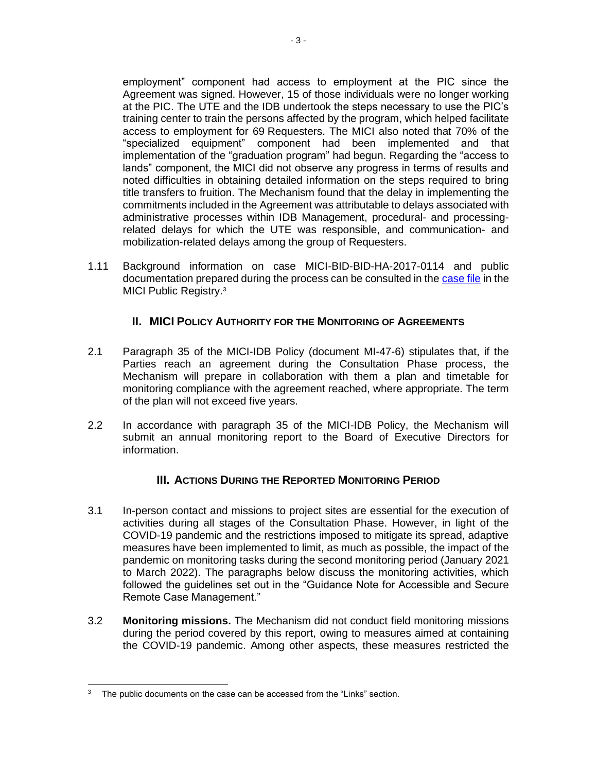employment" component had access to employment at the PIC since the Agreement was signed. However, 15 of those individuals were no longer working at the PIC. The UTE and the IDB undertook the steps necessary to use the PIC's training center to train the persons affected by the program, which helped facilitate access to employment for 69 Requesters. The MICI also noted that 70% of the "specialized equipment" component had been implemented and that implementation of the "graduation program" had begun. Regarding the "access to lands" component, the MICI did not observe any progress in terms of results and noted difficulties in obtaining detailed information on the steps required to bring title transfers to fruition. The Mechanism found that the delay in implementing the commitments included in the Agreement was attributable to delays associated with administrative processes within IDB Management, procedural- and processingrelated delays for which the UTE was responsible, and communication- and mobilization-related delays among the group of Requesters.

1.11 Background information on case MICI-BID-BID-HA-2017-0114 and public documentation prepared during the process can be consulted in the [case file](https://www.iadb.org/es/mici/detalle-de-la-solicitud?ID=MICI-BID-HA-2017-0114) in the MICI Public Registry.<sup>3</sup>

## **II. MICI POLICY AUTHORITY FOR THE MONITORING OF AGREEMENTS**

- <span id="page-9-0"></span>2.1 Paragraph 35 of the MICI-IDB Policy (document MI-47-6) stipulates that, if the Parties reach an agreement during the Consultation Phase process, the Mechanism will prepare in collaboration with them a plan and timetable for monitoring compliance with the agreement reached, where appropriate. The term of the plan will not exceed five years.
- 2.2 In accordance with paragraph 35 of the MICI-IDB Policy, the Mechanism will submit an annual monitoring report to the Board of Executive Directors for information.

### **III. ACTIONS DURING THE REPORTED MONITORING PERIOD**

- <span id="page-9-1"></span>3.1 In-person contact and missions to project sites are essential for the execution of activities during all stages of the Consultation Phase. However, in light of the COVID-19 pandemic and the restrictions imposed to mitigate its spread, adaptive measures have been implemented to limit, as much as possible, the impact of the pandemic on monitoring tasks during the second monitoring period (January 2021 to March 2022). The paragraphs below discuss the monitoring activities, which followed the guidelines set out in the "Guidance Note for Accessible and Secure Remote Case Management."
- 3.2 **Monitoring missions.** The Mechanism did not conduct field monitoring missions during the period covered by this report, owing to measures aimed at containing the COVID-19 pandemic. Among other aspects, these measures restricted the

<sup>&</sup>lt;sup>3</sup> The public documents on the case can be accessed from the "Links" section.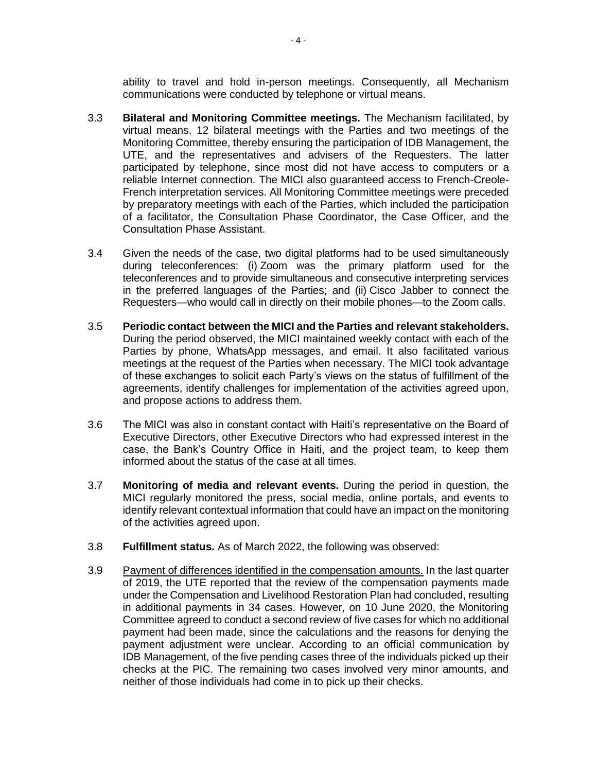ability to travel and hold in-person meetings. Consequently, all Mechanism communications were conducted by telephone or virtual means.

- 3.3 **Bilateral and Monitoring Committee meetings.** The Mechanism facilitated, by virtual means, 12 bilateral meetings with the Parties and two meetings of the Monitoring Committee, thereby ensuring the participation of IDB Management, the UTE, and the representatives and advisers of the Requesters. The latter participated by telephone, since most did not have access to computers or a reliable Internet connection. The MICI also guaranteed access to French-Creole-French interpretation services. All Monitoring Committee meetings were preceded by preparatory meetings with each of the Parties, which included the participation of a facilitator, the Consultation Phase Coordinator, the Case Officer, and the Consultation Phase Assistant.
- 3.4 Given the needs of the case, two digital platforms had to be used simultaneously during teleconferences: (i) Zoom was the primary platform used for the teleconferences and to provide simultaneous and consecutive interpreting services in the preferred languages of the Parties; and (ii) Cisco Jabber to connect the Requesters—who would call in directly on their mobile phones—to the Zoom calls.
- 3.5 **Periodic contact between the MICI and the Parties and relevant stakeholders.** During the period observed, the MICI maintained weekly contact with each of the Parties by phone, WhatsApp messages, and email. It also facilitated various meetings at the request of the Parties when necessary. The MICI took advantage of these exchanges to solicit each Party's views on the status of fulfillment of the agreements, identify challenges for implementation of the activities agreed upon, and propose actions to address them.
- 3.6 The MICI was also in constant contact with Haiti's representative on the Board of Executive Directors, other Executive Directors who had expressed interest in the case, the Bank's Country Office in Haiti, and the project team, to keep them informed about the status of the case at all times.
- 3.7 **Monitoring of media and relevant events.** During the period in question, the MICI regularly monitored the press, social media, online portals, and events to identify relevant contextual information that could have an impact on the monitoring of the activities agreed upon.
- 3.8 **Fulfillment status.** As of March 2022, the following was observed:
- 3.9 Payment of differences identified in the compensation amounts. In the last quarter of 2019, the UTE reported that the review of the compensation payments made under the Compensation and Livelihood Restoration Plan had concluded, resulting in additional payments in 34 cases. However, on 10 June 2020, the Monitoring Committee agreed to conduct a second review of five cases for which no additional payment had been made, since the calculations and the reasons for denying the payment adjustment were unclear. According to an official communication by IDB Management, of the five pending cases three of the individuals picked up their checks at the PIC. The remaining two cases involved very minor amounts, and neither of those individuals had come in to pick up their checks.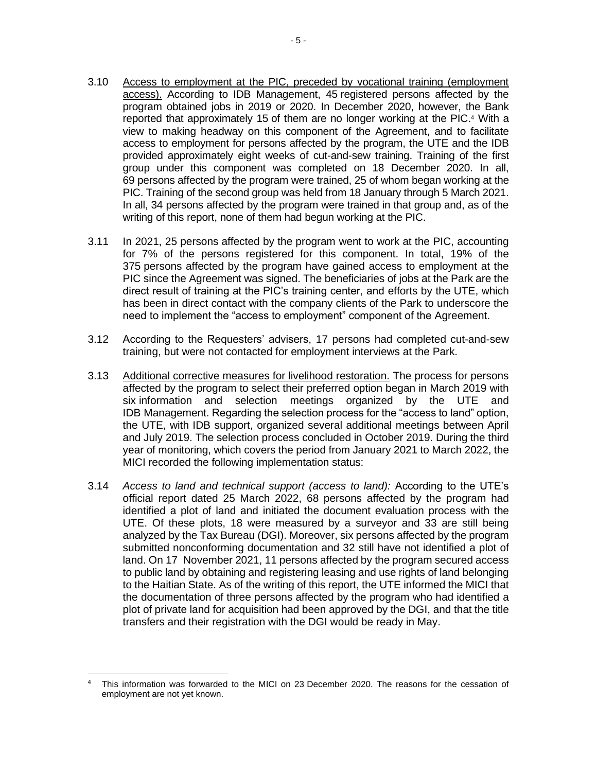- 3.10 Access to employment at the PIC, preceded by vocational training (employment access). According to IDB Management, 45 registered persons affected by the program obtained jobs in 2019 or 2020. In December 2020, however, the Bank reported that approximately 15 of them are no longer working at the PIC. <sup>4</sup> With a view to making headway on this component of the Agreement, and to facilitate access to employment for persons affected by the program, the UTE and the IDB provided approximately eight weeks of cut-and-sew training. Training of the first group under this component was completed on 18 December 2020. In all, 69 persons affected by the program were trained, 25 of whom began working at the PIC. Training of the second group was held from 18 January through 5 March 2021. In all, 34 persons affected by the program were trained in that group and, as of the writing of this report, none of them had begun working at the PIC.
- 3.11 In 2021, 25 persons affected by the program went to work at the PIC, accounting for 7% of the persons registered for this component. In total, 19% of the 375 persons affected by the program have gained access to employment at the PIC since the Agreement was signed. The beneficiaries of jobs at the Park are the direct result of training at the PIC's training center, and efforts by the UTE, which has been in direct contact with the company clients of the Park to underscore the need to implement the "access to employment" component of the Agreement.
- 3.12 According to the Requesters' advisers, 17 persons had completed cut-and-sew training, but were not contacted for employment interviews at the Park.
- 3.13 Additional corrective measures for livelihood restoration. The process for persons affected by the program to select their preferred option began in March 2019 with six information and selection meetings organized by the UTE and IDB Management. Regarding the selection process for the "access to land" option, the UTE, with IDB support, organized several additional meetings between April and July 2019. The selection process concluded in October 2019. During the third year of monitoring, which covers the period from January 2021 to March 2022, the MICI recorded the following implementation status:
- 3.14 *Access to land and technical support (access to land):* According to the UTE's official report dated 25 March 2022, 68 persons affected by the program had identified a plot of land and initiated the document evaluation process with the UTE. Of these plots, 18 were measured by a surveyor and 33 are still being analyzed by the Tax Bureau (DGI). Moreover, six persons affected by the program submitted nonconforming documentation and 32 still have not identified a plot of land. On 17 November 2021, 11 persons affected by the program secured access to public land by obtaining and registering leasing and use rights of land belonging to the Haitian State. As of the writing of this report, the UTE informed the MICI that the documentation of three persons affected by the program who had identified a plot of private land for acquisition had been approved by the DGI, and that the title transfers and their registration with the DGI would be ready in May.

This information was forwarded to the MICI on 23 December 2020. The reasons for the cessation of employment are not yet known.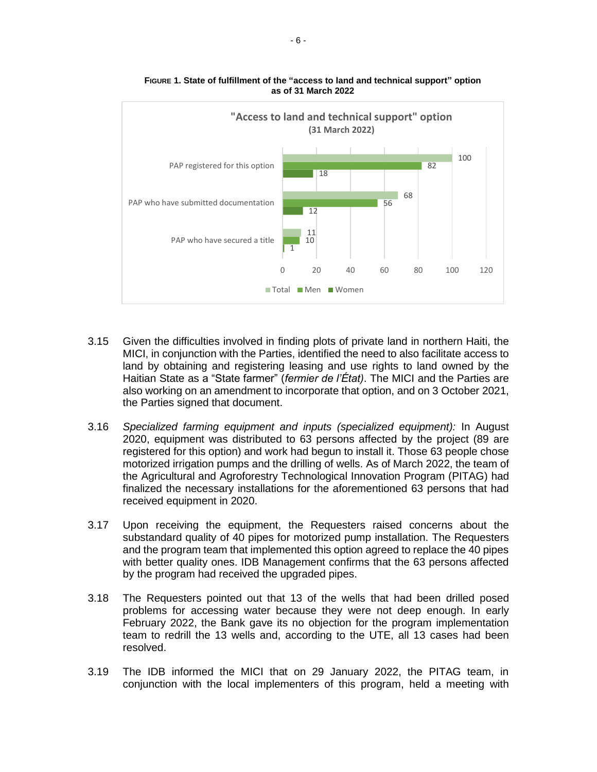

**FIGURE 1. State of fulfillment of the "access to land and technical support" option as of 31 March 2022**

- 3.15 Given the difficulties involved in finding plots of private land in northern Haiti, the MICI, in conjunction with the Parties, identified the need to also facilitate access to land by obtaining and registering leasing and use rights to land owned by the Haitian State as a "State farmer" (*fermier de l'État)*. The MICI and the Parties are also working on an amendment to incorporate that option, and on 3 October 2021, the Parties signed that document.
- 3.16 *Specialized farming equipment and inputs (specialized equipment):* In August 2020, equipment was distributed to 63 persons affected by the project (89 are registered for this option) and work had begun to install it. Those 63 people chose motorized irrigation pumps and the drilling of wells. As of March 2022, the team of the Agricultural and Agroforestry Technological Innovation Program (PITAG) had finalized the necessary installations for the aforementioned 63 persons that had received equipment in 2020.
- 3.17 Upon receiving the equipment, the Requesters raised concerns about the substandard quality of 40 pipes for motorized pump installation. The Requesters and the program team that implemented this option agreed to replace the 40 pipes with better quality ones. IDB Management confirms that the 63 persons affected by the program had received the upgraded pipes.
- 3.18 The Requesters pointed out that 13 of the wells that had been drilled posed problems for accessing water because they were not deep enough. In early February 2022, the Bank gave its no objection for the program implementation team to redrill the 13 wells and, according to the UTE, all 13 cases had been resolved.
- 3.19 The IDB informed the MICI that on 29 January 2022, the PITAG team, in conjunction with the local implementers of this program, held a meeting with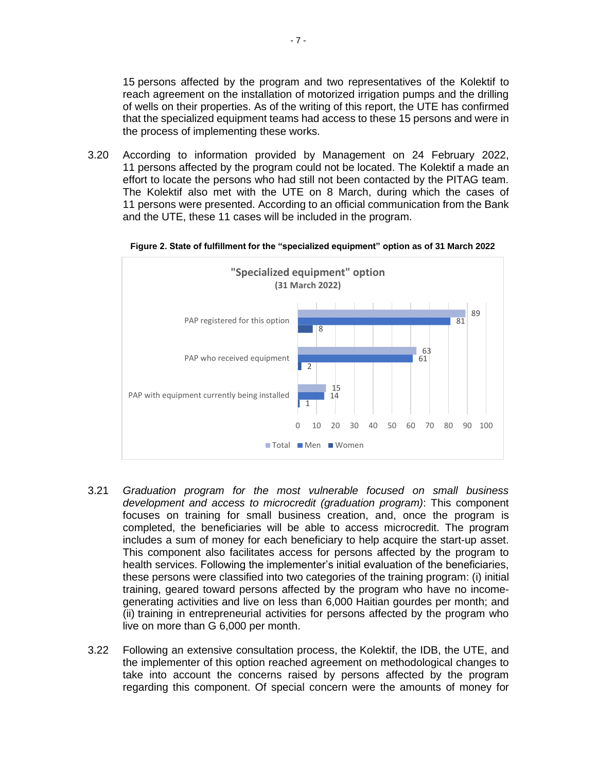15 persons affected by the program and two representatives of the Kolektif to reach agreement on the installation of motorized irrigation pumps and the drilling of wells on their properties. As of the writing of this report, the UTE has confirmed that the specialized equipment teams had access to these 15 persons and were in the process of implementing these works.

3.20 According to information provided by Management on 24 February 2022, 11 persons affected by the program could not be located. The Kolektif a made an effort to locate the persons who had still not been contacted by the PITAG team. The Kolektif also met with the UTE on 8 March, during which the cases of 11 persons were presented. According to an official communication from the Bank and the UTE, these 11 cases will be included in the program.



**Figure 2. State of fulfillment for the "specialized equipment" option as of 31 March 2022**

- 3.21 *Graduation program for the most vulnerable focused on small business development and access to microcredit (graduation program)*: This component focuses on training for small business creation, and, once the program is completed, the beneficiaries will be able to access microcredit. The program includes a sum of money for each beneficiary to help acquire the start-up asset. This component also facilitates access for persons affected by the program to health services. Following the implementer's initial evaluation of the beneficiaries, these persons were classified into two categories of the training program: (i) initial training, geared toward persons affected by the program who have no incomegenerating activities and live on less than 6,000 Haitian gourdes per month; and (ii) training in entrepreneurial activities for persons affected by the program who live on more than G 6,000 per month.
- 3.22 Following an extensive consultation process, the Kolektif, the IDB, the UTE, and the implementer of this option reached agreement on methodological changes to take into account the concerns raised by persons affected by the program regarding this component. Of special concern were the amounts of money for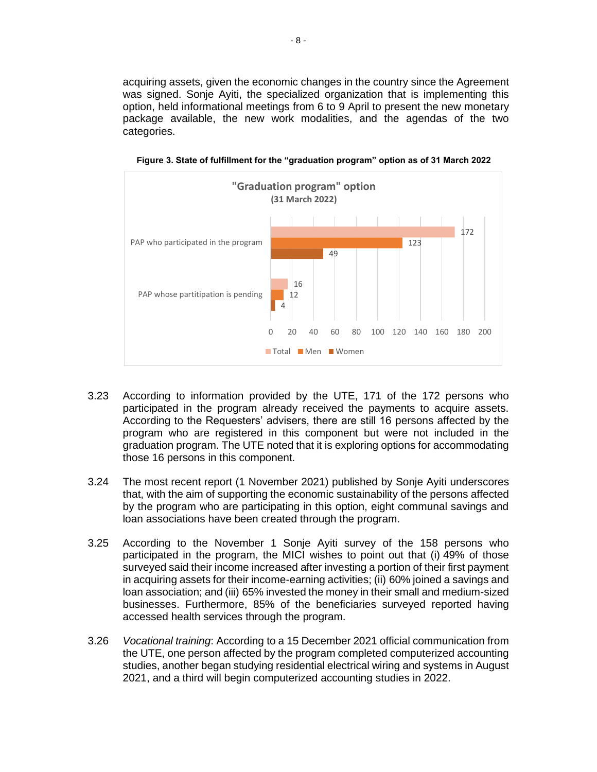acquiring assets, given the economic changes in the country since the Agreement was signed. Sonje Ayiti, the specialized organization that is implementing this option, held informational meetings from 6 to 9 April to present the new monetary package available, the new work modalities, and the agendas of the two categories.



**Figure 3. State of fulfillment for the "graduation program" option as of 31 March 2022**

- 3.23 According to information provided by the UTE, 171 of the 172 persons who participated in the program already received the payments to acquire assets. According to the Requesters' advisers, there are still 16 persons affected by the program who are registered in this component but were not included in the graduation program. The UTE noted that it is exploring options for accommodating those 16 persons in this component.
- 3.24 The most recent report (1 November 2021) published by Sonje Ayiti underscores that, with the aim of supporting the economic sustainability of the persons affected by the program who are participating in this option, eight communal savings and loan associations have been created through the program.
- 3.25 According to the November 1 Sonje Ayiti survey of the 158 persons who participated in the program, the MICI wishes to point out that (i) 49% of those surveyed said their income increased after investing a portion of their first payment in acquiring assets for their income-earning activities; (ii) 60% joined a savings and loan association; and (iii) 65% invested the money in their small and medium-sized businesses. Furthermore, 85% of the beneficiaries surveyed reported having accessed health services through the program.
- 3.26 *Vocational training*: According to a 15 December 2021 official communication from the UTE, one person affected by the program completed computerized accounting studies, another began studying residential electrical wiring and systems in August 2021, and a third will begin computerized accounting studies in 2022.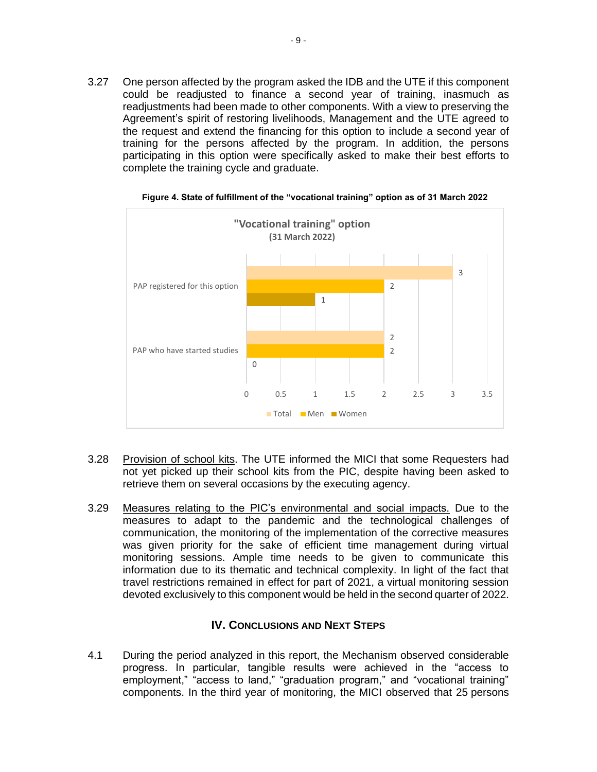3.27 One person affected by the program asked the IDB and the UTE if this component could be readjusted to finance a second year of training, inasmuch as readjustments had been made to other components. With a view to preserving the Agreement's spirit of restoring livelihoods, Management and the UTE agreed to the request and extend the financing for this option to include a second year of training for the persons affected by the program. In addition, the persons participating in this option were specifically asked to make their best efforts to complete the training cycle and graduate.



**Figure 4. State of fulfillment of the "vocational training" option as of 31 March 2022**

- 3.28 Provision of school kits. The UTE informed the MICI that some Requesters had not yet picked up their school kits from the PIC, despite having been asked to retrieve them on several occasions by the executing agency.
- 3.29 Measures relating to the PIC's environmental and social impacts. Due to the measures to adapt to the pandemic and the technological challenges of communication, the monitoring of the implementation of the corrective measures was given priority for the sake of efficient time management during virtual monitoring sessions. Ample time needs to be given to communicate this information due to its thematic and technical complexity. In light of the fact that travel restrictions remained in effect for part of 2021, a virtual monitoring session devoted exclusively to this component would be held in the second quarter of 2022.

#### **IV. CONCLUSIONS AND NEXT STEPS**

<span id="page-15-0"></span>4.1 During the period analyzed in this report, the Mechanism observed considerable progress. In particular, tangible results were achieved in the "access to employment," "access to land," "graduation program," and "vocational training" components. In the third year of monitoring, the MICI observed that 25 persons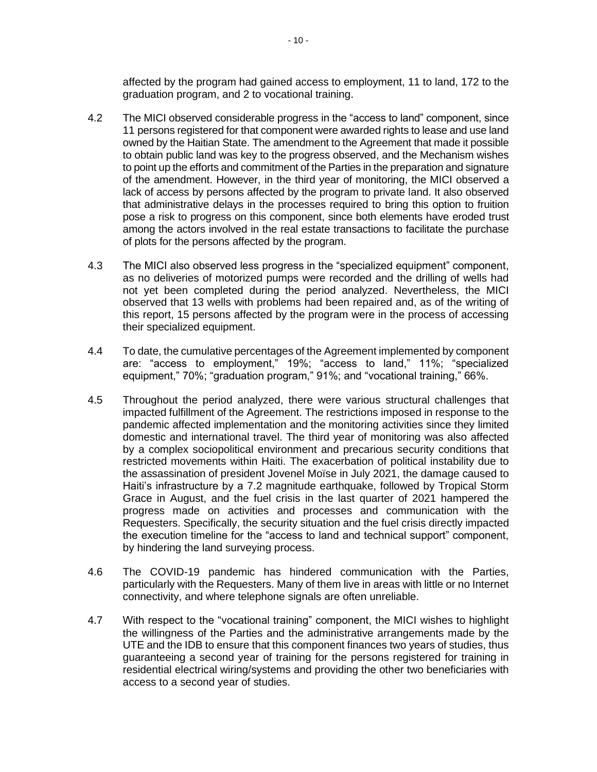affected by the program had gained access to employment, 11 to land, 172 to the graduation program, and 2 to vocational training.

- 4.2 The MICI observed considerable progress in the "access to land" component, since 11 persons registered for that component were awarded rights to lease and use land owned by the Haitian State. The amendment to the Agreement that made it possible to obtain public land was key to the progress observed, and the Mechanism wishes to point up the efforts and commitment of the Parties in the preparation and signature of the amendment. However, in the third year of monitoring, the MICI observed a lack of access by persons affected by the program to private land. It also observed that administrative delays in the processes required to bring this option to fruition pose a risk to progress on this component, since both elements have eroded trust among the actors involved in the real estate transactions to facilitate the purchase of plots for the persons affected by the program.
- 4.3 The MICI also observed less progress in the "specialized equipment" component, as no deliveries of motorized pumps were recorded and the drilling of wells had not yet been completed during the period analyzed. Nevertheless, the MICI observed that 13 wells with problems had been repaired and, as of the writing of this report, 15 persons affected by the program were in the process of accessing their specialized equipment.
- 4.4 To date, the cumulative percentages of the Agreement implemented by component are: "access to employment," 19%; "access to land," 11%; "specialized equipment," 70%; "graduation program," 91%; and "vocational training," 66%.
- 4.5 Throughout the period analyzed, there were various structural challenges that impacted fulfillment of the Agreement. The restrictions imposed in response to the pandemic affected implementation and the monitoring activities since they limited domestic and international travel. The third year of monitoring was also affected by a complex sociopolitical environment and precarious security conditions that restricted movements within Haiti. The exacerbation of political instability due to the assassination of president Jovenel Moïse in July 2021, the damage caused to Haiti's infrastructure by a 7.2 magnitude earthquake, followed by Tropical Storm Grace in August, and the fuel crisis in the last quarter of 2021 hampered the progress made on activities and processes and communication with the Requesters. Specifically, the security situation and the fuel crisis directly impacted the execution timeline for the "access to land and technical support" component, by hindering the land surveying process.
- 4.6 The COVID-19 pandemic has hindered communication with the Parties, particularly with the Requesters. Many of them live in areas with little or no Internet connectivity, and where telephone signals are often unreliable.
- 4.7 With respect to the "vocational training" component, the MICI wishes to highlight the willingness of the Parties and the administrative arrangements made by the UTE and the IDB to ensure that this component finances two years of studies, thus guaranteeing a second year of training for the persons registered for training in residential electrical wiring/systems and providing the other two beneficiaries with access to a second year of studies.